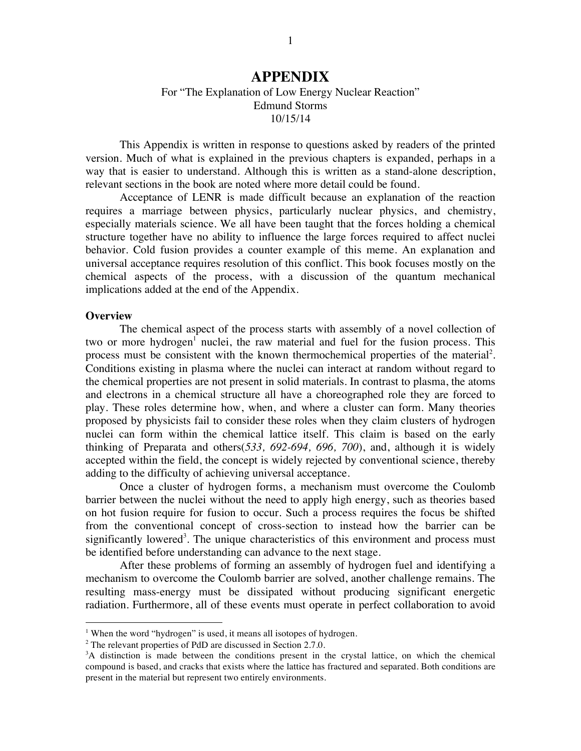# **APPENDIX**

## For "The Explanation of Low Energy Nuclear Reaction" Edmund Storms 10/15/14

This Appendix is written in response to questions asked by readers of the printed version. Much of what is explained in the previous chapters is expanded, perhaps in a way that is easier to understand. Although this is written as a stand-alone description, relevant sections in the book are noted where more detail could be found.

Acceptance of LENR is made difficult because an explanation of the reaction requires a marriage between physics, particularly nuclear physics, and chemistry, especially materials science. We all have been taught that the forces holding a chemical structure together have no ability to influence the large forces required to affect nuclei behavior. Cold fusion provides a counter example of this meme. An explanation and universal acceptance requires resolution of this conflict. This book focuses mostly on the chemical aspects of the process, with a discussion of the quantum mechanical implications added at the end of the Appendix.

#### **Overview**

The chemical aspect of the process starts with assembly of a novel collection of two or more hydrogen<sup>1</sup> nuclei, the raw material and fuel for the fusion process. This process must be consistent with the known thermochemical properties of the material<sup>2</sup>. Conditions existing in plasma where the nuclei can interact at random without regard to the chemical properties are not present in solid materials. In contrast to plasma, the atoms and electrons in a chemical structure all have a choreographed role they are forced to play. These roles determine how, when, and where a cluster can form. Many theories proposed by physicists fail to consider these roles when they claim clusters of hydrogen nuclei can form within the chemical lattice itself. This claim is based on the early thinking of Preparata and others(*533, 692-694, 696, 700*), and, although it is widely accepted within the field, the concept is widely rejected by conventional science, thereby adding to the difficulty of achieving universal acceptance.

Once a cluster of hydrogen forms, a mechanism must overcome the Coulomb barrier between the nuclei without the need to apply high energy, such as theories based on hot fusion require for fusion to occur. Such a process requires the focus be shifted from the conventional concept of cross-section to instead how the barrier can be significantly lowered<sup>3</sup>. The unique characteristics of this environment and process must be identified before understanding can advance to the next stage.

After these problems of forming an assembly of hydrogen fuel and identifying a mechanism to overcome the Coulomb barrier are solved, another challenge remains. The resulting mass-energy must be dissipated without producing significant energetic radiation. Furthermore, all of these events must operate in perfect collaboration to avoid

<sup>|&</sup>lt;br>|<br>| <sup>1</sup> When the word "hydrogen" is used, it means all isotopes of hydrogen.

<sup>&</sup>lt;sup>2</sup> The relevant properties of PdD are discussed in Section 2.7.0.

<sup>&</sup>lt;sup>3</sup>A distinction is made between the conditions present in the crystal lattice, on which the chemical compound is based, and cracks that exists where the lattice has fractured and separated. Both conditions are present in the material but represent two entirely environments.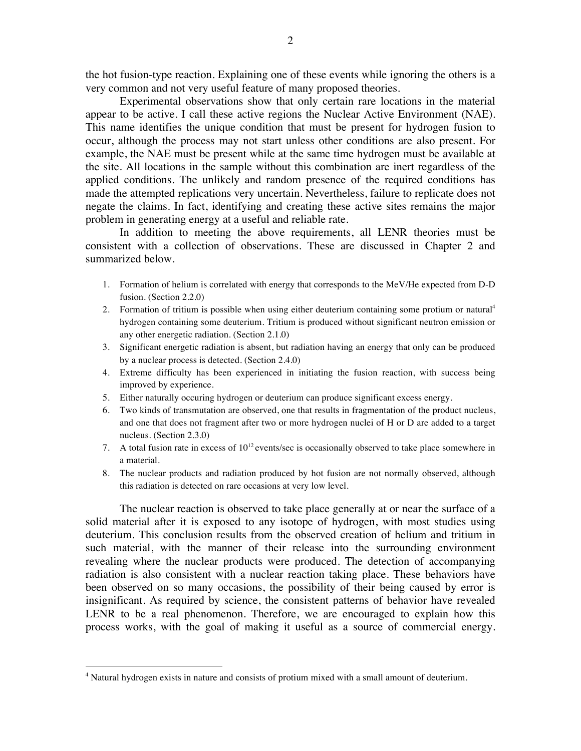the hot fusion-type reaction. Explaining one of these events while ignoring the others is a very common and not very useful feature of many proposed theories.

Experimental observations show that only certain rare locations in the material appear to be active. I call these active regions the Nuclear Active Environment (NAE). This name identifies the unique condition that must be present for hydrogen fusion to occur, although the process may not start unless other conditions are also present. For example, the NAE must be present while at the same time hydrogen must be available at the site. All locations in the sample without this combination are inert regardless of the applied conditions. The unlikely and random presence of the required conditions has made the attempted replications very uncertain. Nevertheless, failure to replicate does not negate the claims. In fact, identifying and creating these active sites remains the major problem in generating energy at a useful and reliable rate.

In addition to meeting the above requirements, all LENR theories must be consistent with a collection of observations. These are discussed in Chapter 2 and summarized below.

- 1. Formation of helium is correlated with energy that corresponds to the MeV/He expected from D-D fusion. (Section 2.2.0)
- 2. Formation of tritium is possible when using either deuterium containing some protium or natural<sup>4</sup> hydrogen containing some deuterium. Tritium is produced without significant neutron emission or any other energetic radiation. (Section 2.1.0)
- 3. Significant energetic radiation is absent, but radiation having an energy that only can be produced by a nuclear process is detected. (Section 2.4.0)
- 4. Extreme difficulty has been experienced in initiating the fusion reaction, with success being improved by experience.
- 5. Either naturally occuring hydrogen or deuterium can produce significant excess energy.
- 6. Two kinds of transmutation are observed, one that results in fragmentation of the product nucleus, and one that does not fragment after two or more hydrogen nuclei of H or D are added to a target nucleus. (Section 2.3.0)
- 7. A total fusion rate in excess of  $10^{12}$  events/sec is occasionally observed to take place somewhere in a material.
- 8. The nuclear products and radiation produced by hot fusion are not normally observed, although this radiation is detected on rare occasions at very low level.

The nuclear reaction is observed to take place generally at or near the surface of a solid material after it is exposed to any isotope of hydrogen, with most studies using deuterium. This conclusion results from the observed creation of helium and tritium in such material, with the manner of their release into the surrounding environment revealing where the nuclear products were produced. The detection of accompanying radiation is also consistent with a nuclear reaction taking place. These behaviors have been observed on so many occasions, the possibility of their being caused by error is insignificant. As required by science, the consistent patterns of behavior have revealed LENR to be a real phenomenon. Therefore, we are encouraged to explain how this process works, with the goal of making it useful as a source of commercial energy.

 $\frac{1}{4}$ <sup>4</sup> Natural hydrogen exists in nature and consists of protium mixed with a small amount of deuterium.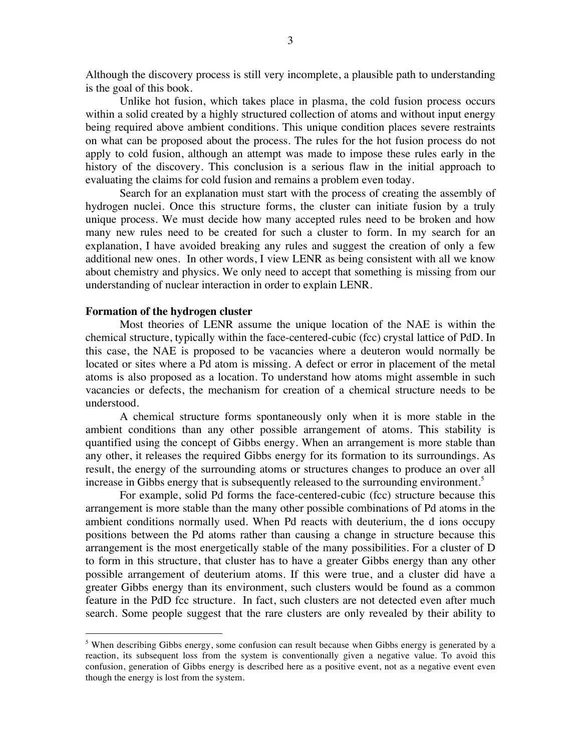Although the discovery process is still very incomplete, a plausible path to understanding is the goal of this book.

Unlike hot fusion, which takes place in plasma, the cold fusion process occurs within a solid created by a highly structured collection of atoms and without input energy being required above ambient conditions. This unique condition places severe restraints on what can be proposed about the process. The rules for the hot fusion process do not apply to cold fusion, although an attempt was made to impose these rules early in the history of the discovery. This conclusion is a serious flaw in the initial approach to evaluating the claims for cold fusion and remains a problem even today.

Search for an explanation must start with the process of creating the assembly of hydrogen nuclei. Once this structure forms, the cluster can initiate fusion by a truly unique process. We must decide how many accepted rules need to be broken and how many new rules need to be created for such a cluster to form. In my search for an explanation, I have avoided breaking any rules and suggest the creation of only a few additional new ones. In other words, I view LENR as being consistent with all we know about chemistry and physics. We only need to accept that something is missing from our understanding of nuclear interaction in order to explain LENR.

#### **Formation of the hydrogen cluster**

Most theories of LENR assume the unique location of the NAE is within the chemical structure, typically within the face-centered-cubic (fcc) crystal lattice of PdD. In this case, the NAE is proposed to be vacancies where a deuteron would normally be located or sites where a Pd atom is missing. A defect or error in placement of the metal atoms is also proposed as a location. To understand how atoms might assemble in such vacancies or defects, the mechanism for creation of a chemical structure needs to be understood.

A chemical structure forms spontaneously only when it is more stable in the ambient conditions than any other possible arrangement of atoms. This stability is quantified using the concept of Gibbs energy. When an arrangement is more stable than any other, it releases the required Gibbs energy for its formation to its surroundings. As result, the energy of the surrounding atoms or structures changes to produce an over all increase in Gibbs energy that is subsequently released to the surrounding environment.<sup>5</sup>

For example, solid Pd forms the face-centered-cubic (fcc) structure because this arrangement is more stable than the many other possible combinations of Pd atoms in the ambient conditions normally used. When Pd reacts with deuterium, the d ions occupy positions between the Pd atoms rather than causing a change in structure because this arrangement is the most energetically stable of the many possibilities. For a cluster of D to form in this structure, that cluster has to have a greater Gibbs energy than any other possible arrangement of deuterium atoms. If this were true, and a cluster did have a greater Gibbs energy than its environment, such clusters would be found as a common feature in the PdD fcc structure. In fact, such clusters are not detected even after much search. Some people suggest that the rare clusters are only revealed by their ability to

<sup>&</sup>lt;sup>5</sup> When describing Gibbs energy, some confusion can result because when Gibbs energy is generated by a reaction, its subsequent loss from the system is conventionally given a negative value. To avoid this confusion, generation of Gibbs energy is described here as a positive event, not as a negative event even though the energy is lost from the system.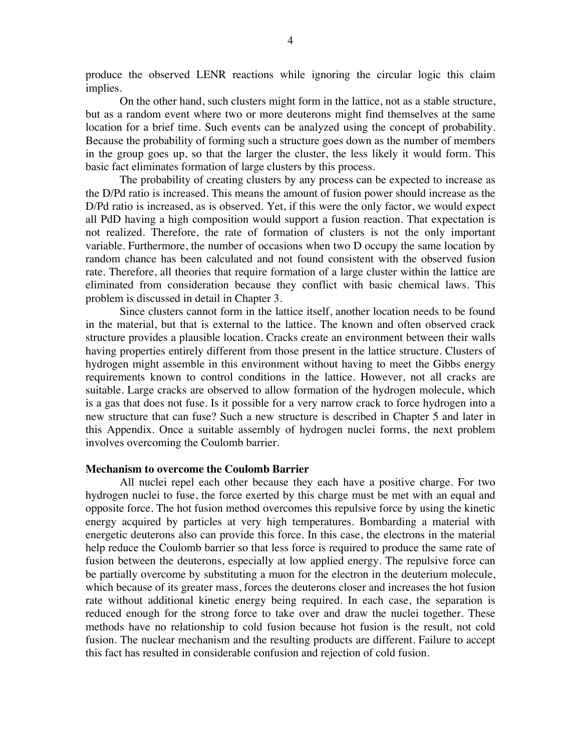produce the observed LENR reactions while ignoring the circular logic this claim implies.

On the other hand, such clusters might form in the lattice, not as a stable structure, but as a random event where two or more deuterons might find themselves at the same location for a brief time. Such events can be analyzed using the concept of probability. Because the probability of forming such a structure goes down as the number of members in the group goes up, so that the larger the cluster, the less likely it would form. This basic fact eliminates formation of large clusters by this process.

The probability of creating clusters by any process can be expected to increase as the D/Pd ratio is increased. This means the amount of fusion power should increase as the D/Pd ratio is increased, as is observed. Yet, if this were the only factor, we would expect all PdD having a high composition would support a fusion reaction. That expectation is not realized. Therefore, the rate of formation of clusters is not the only important variable. Furthermore, the number of occasions when two D occupy the same location by random chance has been calculated and not found consistent with the observed fusion rate. Therefore, all theories that require formation of a large cluster within the lattice are eliminated from consideration because they conflict with basic chemical laws. This problem is discussed in detail in Chapter 3.

Since clusters cannot form in the lattice itself, another location needs to be found in the material, but that is external to the lattice. The known and often observed crack structure provides a plausible location. Cracks create an environment between their walls having properties entirely different from those present in the lattice structure. Clusters of hydrogen might assemble in this environment without having to meet the Gibbs energy requirements known to control conditions in the lattice. However, not all cracks are suitable. Large cracks are observed to allow formation of the hydrogen molecule, which is a gas that does not fuse. Is it possible for a very narrow crack to force hydrogen into a new structure that can fuse? Such a new structure is described in Chapter 5 and later in this Appendix. Once a suitable assembly of hydrogen nuclei forms, the next problem involves overcoming the Coulomb barrier.

### **Mechanism to overcome the Coulomb Barrier**

All nuclei repel each other because they each have a positive charge. For two hydrogen nuclei to fuse, the force exerted by this charge must be met with an equal and opposite force. The hot fusion method overcomes this repulsive force by using the kinetic energy acquired by particles at very high temperatures. Bombarding a material with energetic deuterons also can provide this force. In this case, the electrons in the material help reduce the Coulomb barrier so that less force is required to produce the same rate of fusion between the deuterons, especially at low applied energy. The repulsive force can be partially overcome by substituting a muon for the electron in the deuterium molecule, which because of its greater mass, forces the deuterons closer and increases the hot fusion rate without additional kinetic energy being required. In each case, the separation is reduced enough for the strong force to take over and draw the nuclei together. These methods have no relationship to cold fusion because hot fusion is the result, not cold fusion. The nuclear mechanism and the resulting products are different. Failure to accept this fact has resulted in considerable confusion and rejection of cold fusion.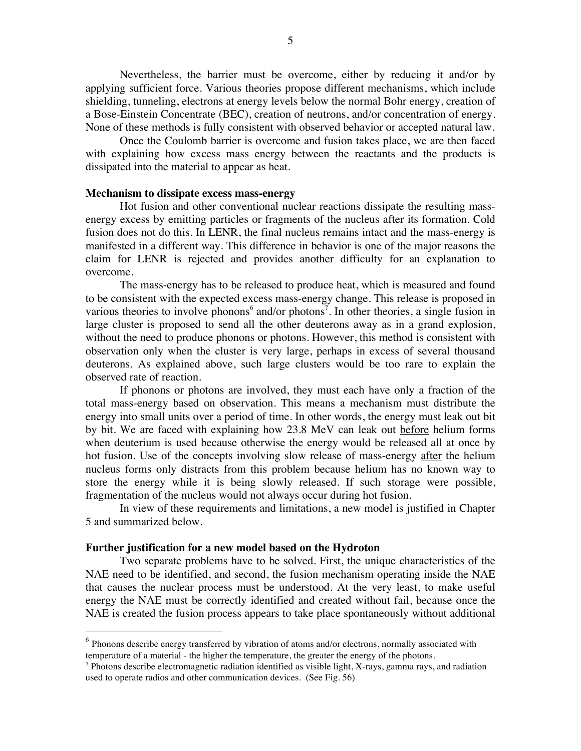Nevertheless, the barrier must be overcome, either by reducing it and/or by applying sufficient force. Various theories propose different mechanisms, which include shielding, tunneling, electrons at energy levels below the normal Bohr energy, creation of a Bose-Einstein Concentrate (BEC), creation of neutrons, and/or concentration of energy. None of these methods is fully consistent with observed behavior or accepted natural law.

Once the Coulomb barrier is overcome and fusion takes place, we are then faced with explaining how excess mass energy between the reactants and the products is dissipated into the material to appear as heat.

#### **Mechanism to dissipate excess mass-energy**

Hot fusion and other conventional nuclear reactions dissipate the resulting massenergy excess by emitting particles or fragments of the nucleus after its formation. Cold fusion does not do this. In LENR, the final nucleus remains intact and the mass-energy is manifested in a different way. This difference in behavior is one of the major reasons the claim for LENR is rejected and provides another difficulty for an explanation to overcome.

The mass-energy has to be released to produce heat, which is measured and found to be consistent with the expected excess mass-energy change. This release is proposed in various theories to involve phonons<sup>6</sup> and/or photons<sup>7</sup>. In other theories, a single fusion in large cluster is proposed to send all the other deuterons away as in a grand explosion, without the need to produce phonons or photons. However, this method is consistent with observation only when the cluster is very large, perhaps in excess of several thousand deuterons. As explained above, such large clusters would be too rare to explain the observed rate of reaction.

If phonons or photons are involved, they must each have only a fraction of the total mass-energy based on observation. This means a mechanism must distribute the energy into small units over a period of time. In other words, the energy must leak out bit by bit. We are faced with explaining how 23.8 MeV can leak out before helium forms when deuterium is used because otherwise the energy would be released all at once by hot fusion. Use of the concepts involving slow release of mass-energy after the helium nucleus forms only distracts from this problem because helium has no known way to store the energy while it is being slowly released. If such storage were possible, fragmentation of the nucleus would not always occur during hot fusion.

In view of these requirements and limitations, a new model is justified in Chapter 5 and summarized below.

### **Further justification for a new model based on the Hydroton**

Two separate problems have to be solved. First, the unique characteristics of the NAE need to be identified, and second, the fusion mechanism operating inside the NAE that causes the nuclear process must be understood. At the very least, to make useful energy the NAE must be correctly identified and created without fail, because once the NAE is created the fusion process appears to take place spontaneously without additional

<sup>&</sup>lt;sup>6</sup> Phonons describe energy transferred by vibration of atoms and/or electrons, normally associated with temperature of a material - the higher the temperature, the greater the energy of the photons.

<sup>&</sup>lt;sup>7</sup> Photons describe electromagnetic radiation identified as visible light, X-rays, gamma rays, and radiation used to operate radios and other communication devices. (See Fig. 56)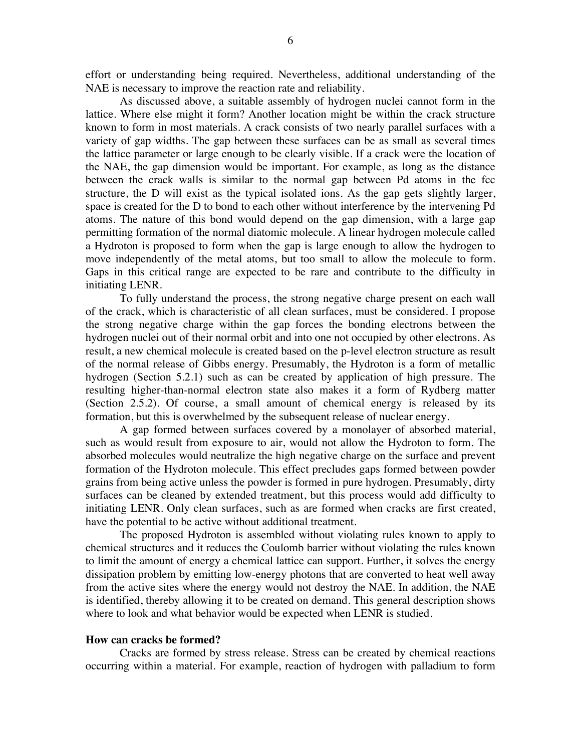effort or understanding being required. Nevertheless, additional understanding of the NAE is necessary to improve the reaction rate and reliability.

As discussed above, a suitable assembly of hydrogen nuclei cannot form in the lattice. Where else might it form? Another location might be within the crack structure known to form in most materials. A crack consists of two nearly parallel surfaces with a variety of gap widths. The gap between these surfaces can be as small as several times the lattice parameter or large enough to be clearly visible. If a crack were the location of the NAE, the gap dimension would be important. For example, as long as the distance between the crack walls is similar to the normal gap between Pd atoms in the fcc structure, the D will exist as the typical isolated ions. As the gap gets slightly larger, space is created for the D to bond to each other without interference by the intervening Pd atoms. The nature of this bond would depend on the gap dimension, with a large gap permitting formation of the normal diatomic molecule. A linear hydrogen molecule called a Hydroton is proposed to form when the gap is large enough to allow the hydrogen to move independently of the metal atoms, but too small to allow the molecule to form. Gaps in this critical range are expected to be rare and contribute to the difficulty in initiating LENR.

To fully understand the process, the strong negative charge present on each wall of the crack, which is characteristic of all clean surfaces, must be considered. I propose the strong negative charge within the gap forces the bonding electrons between the hydrogen nuclei out of their normal orbit and into one not occupied by other electrons. As result, a new chemical molecule is created based on the p-level electron structure as result of the normal release of Gibbs energy. Presumably, the Hydroton is a form of metallic hydrogen (Section 5.2.1) such as can be created by application of high pressure. The resulting higher-than-normal electron state also makes it a form of Rydberg matter (Section 2.5.2). Of course, a small amount of chemical energy is released by its formation, but this is overwhelmed by the subsequent release of nuclear energy.

A gap formed between surfaces covered by a monolayer of absorbed material, such as would result from exposure to air, would not allow the Hydroton to form. The absorbed molecules would neutralize the high negative charge on the surface and prevent formation of the Hydroton molecule. This effect precludes gaps formed between powder grains from being active unless the powder is formed in pure hydrogen. Presumably, dirty surfaces can be cleaned by extended treatment, but this process would add difficulty to initiating LENR. Only clean surfaces, such as are formed when cracks are first created, have the potential to be active without additional treatment.

The proposed Hydroton is assembled without violating rules known to apply to chemical structures and it reduces the Coulomb barrier without violating the rules known to limit the amount of energy a chemical lattice can support. Further, it solves the energy dissipation problem by emitting low-energy photons that are converted to heat well away from the active sites where the energy would not destroy the NAE. In addition, the NAE is identified, thereby allowing it to be created on demand. This general description shows where to look and what behavior would be expected when LENR is studied.

## **How can cracks be formed?**

Cracks are formed by stress release. Stress can be created by chemical reactions occurring within a material. For example, reaction of hydrogen with palladium to form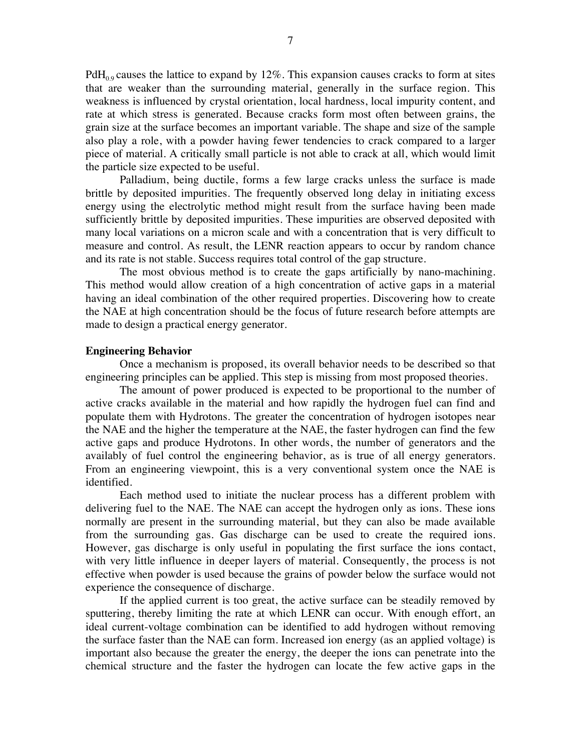$PdH<sub>0.9</sub>$  causes the lattice to expand by 12%. This expansion causes cracks to form at sites that are weaker than the surrounding material, generally in the surface region. This weakness is influenced by crystal orientation, local hardness, local impurity content, and rate at which stress is generated. Because cracks form most often between grains, the grain size at the surface becomes an important variable. The shape and size of the sample also play a role, with a powder having fewer tendencies to crack compared to a larger piece of material. A critically small particle is not able to crack at all, which would limit the particle size expected to be useful.

Palladium, being ductile, forms a few large cracks unless the surface is made brittle by deposited impurities. The frequently observed long delay in initiating excess energy using the electrolytic method might result from the surface having been made sufficiently brittle by deposited impurities. These impurities are observed deposited with many local variations on a micron scale and with a concentration that is very difficult to measure and control. As result, the LENR reaction appears to occur by random chance and its rate is not stable. Success requires total control of the gap structure.

The most obvious method is to create the gaps artificially by nano-machining. This method would allow creation of a high concentration of active gaps in a material having an ideal combination of the other required properties. Discovering how to create the NAE at high concentration should be the focus of future research before attempts are made to design a practical energy generator.

### **Engineering Behavior**

Once a mechanism is proposed, its overall behavior needs to be described so that engineering principles can be applied. This step is missing from most proposed theories.

The amount of power produced is expected to be proportional to the number of active cracks available in the material and how rapidly the hydrogen fuel can find and populate them with Hydrotons. The greater the concentration of hydrogen isotopes near the NAE and the higher the temperature at the NAE, the faster hydrogen can find the few active gaps and produce Hydrotons. In other words, the number of generators and the availably of fuel control the engineering behavior, as is true of all energy generators. From an engineering viewpoint, this is a very conventional system once the NAE is identified.

Each method used to initiate the nuclear process has a different problem with delivering fuel to the NAE. The NAE can accept the hydrogen only as ions. These ions normally are present in the surrounding material, but they can also be made available from the surrounding gas. Gas discharge can be used to create the required ions. However, gas discharge is only useful in populating the first surface the ions contact, with very little influence in deeper layers of material. Consequently, the process is not effective when powder is used because the grains of powder below the surface would not experience the consequence of discharge.

If the applied current is too great, the active surface can be steadily removed by sputtering, thereby limiting the rate at which LENR can occur. With enough effort, an ideal current-voltage combination can be identified to add hydrogen without removing the surface faster than the NAE can form. Increased ion energy (as an applied voltage) is important also because the greater the energy, the deeper the ions can penetrate into the chemical structure and the faster the hydrogen can locate the few active gaps in the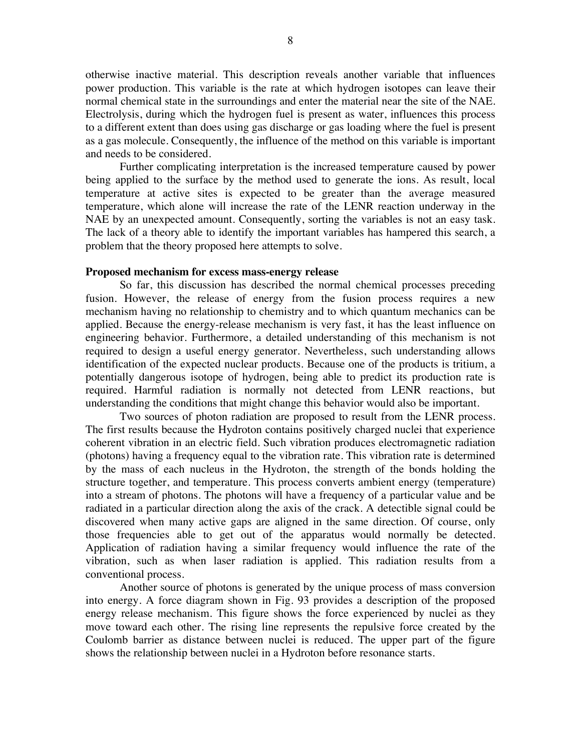otherwise inactive material. This description reveals another variable that influences power production. This variable is the rate at which hydrogen isotopes can leave their normal chemical state in the surroundings and enter the material near the site of the NAE. Electrolysis, during which the hydrogen fuel is present as water, influences this process to a different extent than does using gas discharge or gas loading where the fuel is present as a gas molecule. Consequently, the influence of the method on this variable is important and needs to be considered.

Further complicating interpretation is the increased temperature caused by power being applied to the surface by the method used to generate the ions. As result, local temperature at active sites is expected to be greater than the average measured temperature, which alone will increase the rate of the LENR reaction underway in the NAE by an unexpected amount. Consequently, sorting the variables is not an easy task. The lack of a theory able to identify the important variables has hampered this search, a problem that the theory proposed here attempts to solve.

#### **Proposed mechanism for excess mass-energy release**

So far, this discussion has described the normal chemical processes preceding fusion. However, the release of energy from the fusion process requires a new mechanism having no relationship to chemistry and to which quantum mechanics can be applied. Because the energy-release mechanism is very fast, it has the least influence on engineering behavior. Furthermore, a detailed understanding of this mechanism is not required to design a useful energy generator. Nevertheless, such understanding allows identification of the expected nuclear products. Because one of the products is tritium, a potentially dangerous isotope of hydrogen, being able to predict its production rate is required. Harmful radiation is normally not detected from LENR reactions, but understanding the conditions that might change this behavior would also be important.

Two sources of photon radiation are proposed to result from the LENR process. The first results because the Hydroton contains positively charged nuclei that experience coherent vibration in an electric field. Such vibration produces electromagnetic radiation (photons) having a frequency equal to the vibration rate. This vibration rate is determined by the mass of each nucleus in the Hydroton, the strength of the bonds holding the structure together, and temperature. This process converts ambient energy (temperature) into a stream of photons. The photons will have a frequency of a particular value and be radiated in a particular direction along the axis of the crack. A detectible signal could be discovered when many active gaps are aligned in the same direction. Of course, only those frequencies able to get out of the apparatus would normally be detected. Application of radiation having a similar frequency would influence the rate of the vibration, such as when laser radiation is applied. This radiation results from a conventional process.

Another source of photons is generated by the unique process of mass conversion into energy. A force diagram shown in Fig. 93 provides a description of the proposed energy release mechanism. This figure shows the force experienced by nuclei as they move toward each other. The rising line represents the repulsive force created by the Coulomb barrier as distance between nuclei is reduced. The upper part of the figure shows the relationship between nuclei in a Hydroton before resonance starts.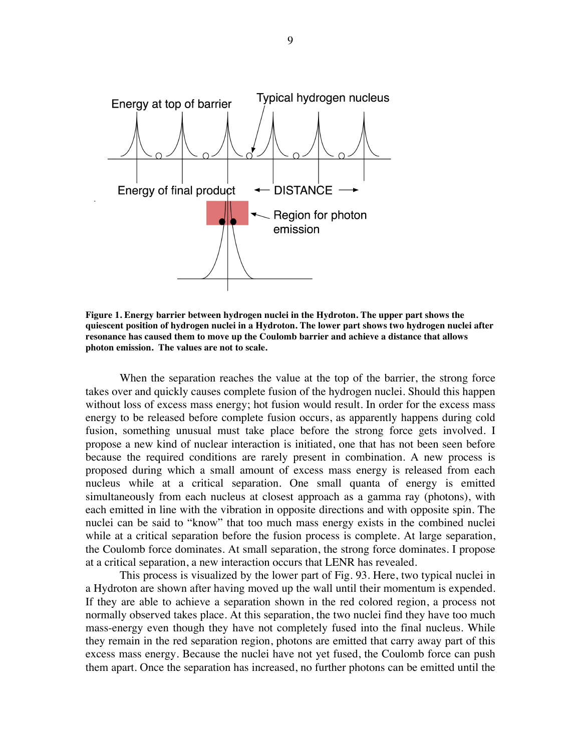

**Figure 1. Energy barrier between hydrogen nuclei in the Hydroton. The upper part shows the quiescent position of hydrogen nuclei in a Hydroton. The lower part shows two hydrogen nuclei after resonance has caused them to move up the Coulomb barrier and achieve a distance that allows photon emission. The values are not to scale.**

When the separation reaches the value at the top of the barrier, the strong force takes over and quickly causes complete fusion of the hydrogen nuclei. Should this happen without loss of excess mass energy; hot fusion would result. In order for the excess mass energy to be released before complete fusion occurs, as apparently happens during cold fusion, something unusual must take place before the strong force gets involved. I propose a new kind of nuclear interaction is initiated, one that has not been seen before because the required conditions are rarely present in combination. A new process is proposed during which a small amount of excess mass energy is released from each nucleus while at a critical separation. One small quanta of energy is emitted simultaneously from each nucleus at closest approach as a gamma ray (photons), with each emitted in line with the vibration in opposite directions and with opposite spin. The nuclei can be said to "know" that too much mass energy exists in the combined nuclei while at a critical separation before the fusion process is complete. At large separation, the Coulomb force dominates. At small separation, the strong force dominates. I propose at a critical separation, a new interaction occurs that LENR has revealed.

This process is visualized by the lower part of Fig. 93. Here, two typical nuclei in a Hydroton are shown after having moved up the wall until their momentum is expended. If they are able to achieve a separation shown in the red colored region, a process not normally observed takes place. At this separation, the two nuclei find they have too much mass-energy even though they have not completely fused into the final nucleus. While they remain in the red separation region, photons are emitted that carry away part of this excess mass energy. Because the nuclei have not yet fused, the Coulomb force can push them apart. Once the separation has increased, no further photons can be emitted until the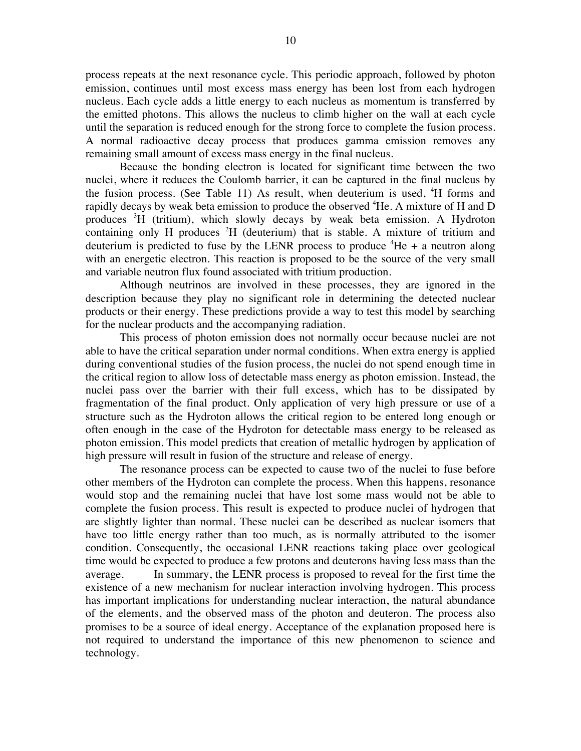process repeats at the next resonance cycle. This periodic approach, followed by photon emission, continues until most excess mass energy has been lost from each hydrogen nucleus. Each cycle adds a little energy to each nucleus as momentum is transferred by the emitted photons. This allows the nucleus to climb higher on the wall at each cycle until the separation is reduced enough for the strong force to complete the fusion process. A normal radioactive decay process that produces gamma emission removes any remaining small amount of excess mass energy in the final nucleus.

Because the bonding electron is located for significant time between the two nuclei, where it reduces the Coulomb barrier, it can be captured in the final nucleus by the fusion process. (See Table 11) As result, when deuterium is used, <sup>4</sup>H forms and rapidly decays by weak beta emission to produce the observed <sup>4</sup>He. A mixture of H and D produces <sup>3</sup>H (tritium), which slowly decays by weak beta emission. A Hydroton containing only H produces  ${}^{2}H$  (deuterium) that is stable. A mixture of tritium and deuterium is predicted to fuse by the LENR process to produce  ${}^{4}$ He + a neutron along with an energetic electron. This reaction is proposed to be the source of the very small and variable neutron flux found associated with tritium production.

Although neutrinos are involved in these processes, they are ignored in the description because they play no significant role in determining the detected nuclear products or their energy. These predictions provide a way to test this model by searching for the nuclear products and the accompanying radiation.

This process of photon emission does not normally occur because nuclei are not able to have the critical separation under normal conditions. When extra energy is applied during conventional studies of the fusion process, the nuclei do not spend enough time in the critical region to allow loss of detectable mass energy as photon emission. Instead, the nuclei pass over the barrier with their full excess, which has to be dissipated by fragmentation of the final product. Only application of very high pressure or use of a structure such as the Hydroton allows the critical region to be entered long enough or often enough in the case of the Hydroton for detectable mass energy to be released as photon emission. This model predicts that creation of metallic hydrogen by application of high pressure will result in fusion of the structure and release of energy.

The resonance process can be expected to cause two of the nuclei to fuse before other members of the Hydroton can complete the process. When this happens, resonance would stop and the remaining nuclei that have lost some mass would not be able to complete the fusion process. This result is expected to produce nuclei of hydrogen that are slightly lighter than normal. These nuclei can be described as nuclear isomers that have too little energy rather than too much, as is normally attributed to the isomer condition. Consequently, the occasional LENR reactions taking place over geological time would be expected to produce a few protons and deuterons having less mass than the average. In summary, the LENR process is proposed to reveal for the first time the existence of a new mechanism for nuclear interaction involving hydrogen. This process has important implications for understanding nuclear interaction, the natural abundance of the elements, and the observed mass of the photon and deuteron. The process also promises to be a source of ideal energy. Acceptance of the explanation proposed here is not required to understand the importance of this new phenomenon to science and technology.